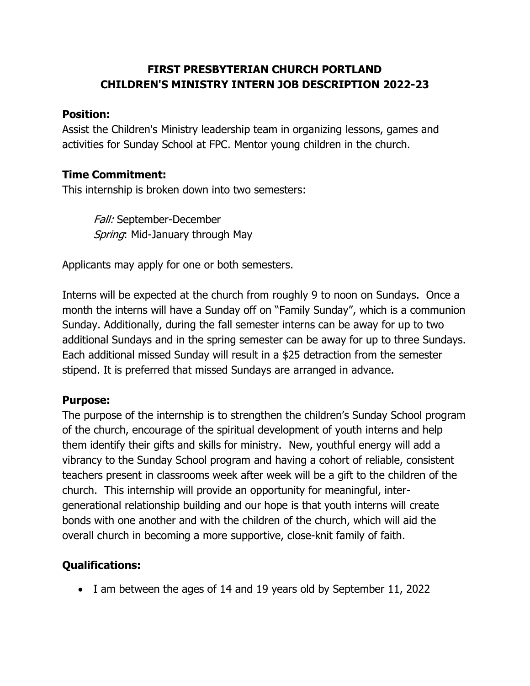## **FIRST PRESBYTERIAN CHURCH PORTLAND CHILDREN'S MINISTRY INTERN JOB DESCRIPTION 2022-23**

#### **Position:**

Assist the Children's Ministry leadership team in organizing lessons, games and activities for Sunday School at FPC. Mentor young children in the church.

#### **Time Commitment:**

This internship is broken down into two semesters:

Fall: September-December Spring: Mid-January through May

Applicants may apply for one or both semesters.

Interns will be expected at the church from roughly 9 to noon on Sundays. Once a month the interns will have a Sunday off on "Family Sunday", which is a communion Sunday. Additionally, during the fall semester interns can be away for up to two additional Sundays and in the spring semester can be away for up to three Sundays. Each additional missed Sunday will result in a \$25 detraction from the semester stipend. It is preferred that missed Sundays are arranged in advance.

#### **Purpose:**

The purpose of the internship is to strengthen the children's Sunday School program of the church, encourage of the spiritual development of youth interns and help them identify their gifts and skills for ministry. New, youthful energy will add a vibrancy to the Sunday School program and having a cohort of reliable, consistent teachers present in classrooms week after week will be a gift to the children of the church. This internship will provide an opportunity for meaningful, intergenerational relationship building and our hope is that youth interns will create bonds with one another and with the children of the church, which will aid the overall church in becoming a more supportive, close-knit family of faith.

## **Qualifications:**

I am between the ages of 14 and 19 years old by September 11, 2022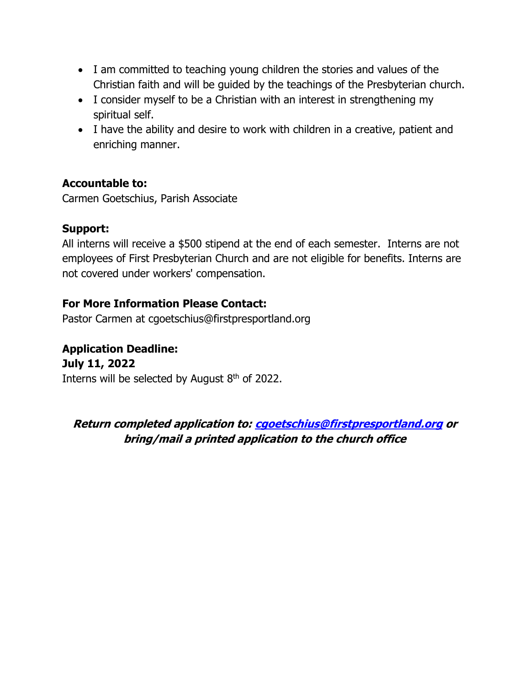- I am committed to teaching young children the stories and values of the Christian faith and will be guided by the teachings of the Presbyterian church.
- I consider myself to be a Christian with an interest in strengthening my spiritual self.
- I have the ability and desire to work with children in a creative, patient and enriching manner.

## **Accountable to:**

Carmen Goetschius, Parish Associate

#### **Support:**

All interns will receive a \$500 stipend at the end of each semester. Interns are not employees of First Presbyterian Church and are not eligible for benefits. Interns are not covered under workers' compensation.

## **For More Information Please Contact:**

Pastor Carmen at cgoetschius@firstpresportland.org

**Application Deadline: July 11, 2022** Interns will be selected by August  $8<sup>th</sup>$  of 2022.

**Return completed application to: [cgoetschius@firstpresportland.org](mailto:cgoetschius@firstpresportland.org) or bring/mail a printed application to the church office**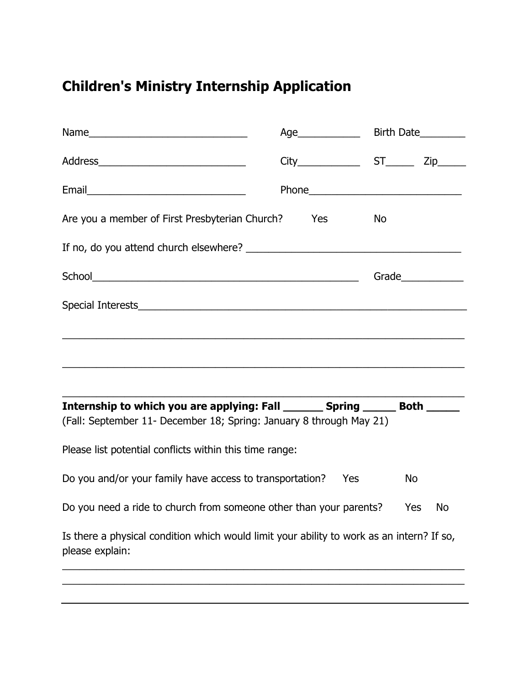# **Children's Ministry Internship Application**

| Are you a member of First Presbyterian Church?                                                                                                         | Yes | <b>No</b> |                    |  |
|--------------------------------------------------------------------------------------------------------------------------------------------------------|-----|-----------|--------------------|--|
|                                                                                                                                                        |     |           |                    |  |
|                                                                                                                                                        |     |           | Grade_____________ |  |
|                                                                                                                                                        |     |           |                    |  |
|                                                                                                                                                        |     |           |                    |  |
|                                                                                                                                                        |     |           |                    |  |
|                                                                                                                                                        |     |           |                    |  |
| Internship to which you are applying: Fall _________ Spring _______ Both ______<br>(Fall: September 11- December 18; Spring: January 8 through May 21) |     |           |                    |  |
| Please list potential conflicts within this time range:                                                                                                |     |           |                    |  |
| Do you and/or your family have access to transportation?<br>Yes<br>No                                                                                  |     |           |                    |  |
| Do you need a ride to church from someone other than your parents?<br>Yes<br>No                                                                        |     |           |                    |  |
| Is there a physical condition which would limit your ability to work as an intern? If so,<br>please explain:                                           |     |           |                    |  |
|                                                                                                                                                        |     |           |                    |  |